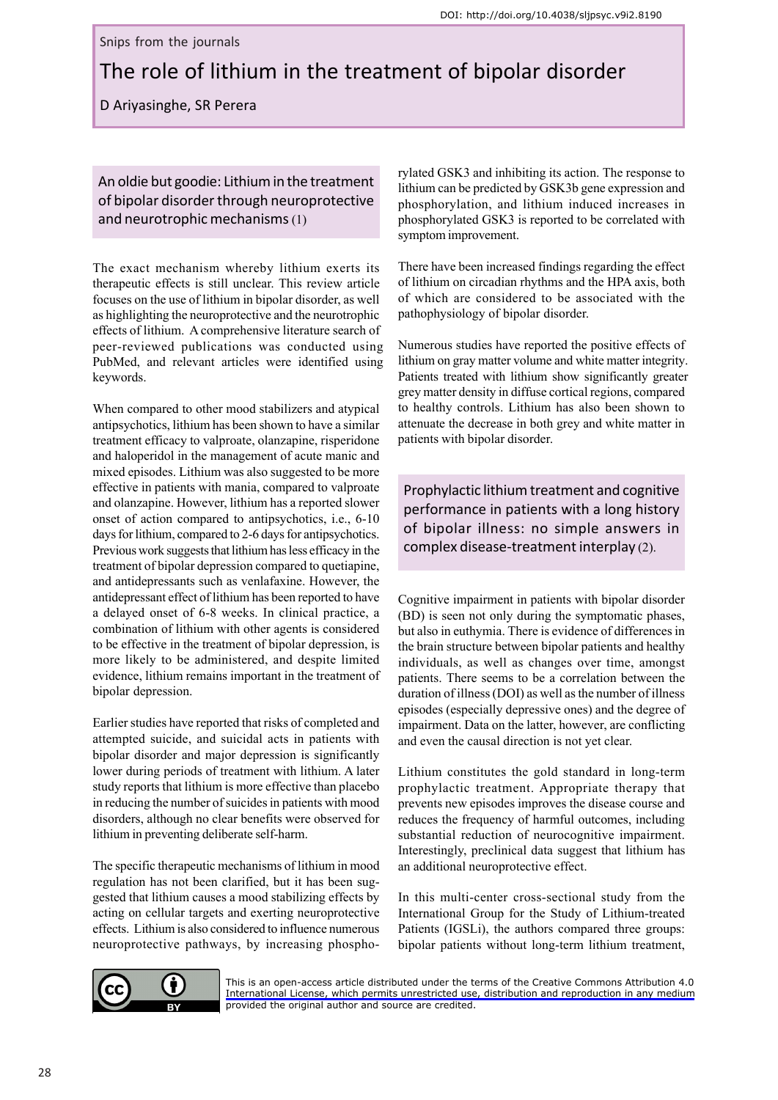Snips from the journals

# The role of lithium in the treatment of bipolar disorder

D Ariyasinghe, SR Perera

An oldie but goodie: Lithium in the treatment of bipolar disorder through neuroprotective and neurotrophic mechanisms(1)

The exact mechanism whereby lithium exerts its therapeutic effects is still unclear. This review article focuses on the use of lithium in bipolar disorder, as well as highlighting the neuroprotective and the neurotrophic effects of lithium. A comprehensive literature search of peer-reviewed publications was conducted using PubMed, and relevant articles were identified using keywords.

When compared to other mood stabilizers and atypical antipsychotics, lithium has been shown to have a similar treatment efficacy to valproate, olanzapine, risperidone and haloperidol in the management of acute manic and mixed episodes. Lithium was also suggested to be more effective in patients with mania, compared to valproate and olanzapine. However, lithium has a reported slower onset of action compared to antipsychotics, i.e., 6-10 days for lithium, compared to 2-6 days for antipsychotics. Previous work suggests that lithium has less efficacy in the treatment of bipolar depression compared to quetiapine, and antidepressants such as venlafaxine. However, the antidepressant effect of lithium has been reported to have a delayed onset of 6-8 weeks. In clinical practice, a combination of lithium with other agents is considered to be effective in the treatment of bipolar depression, is more likely to be administered, and despite limited evidence, lithium remains important in the treatment of bipolar depression.

Earlier studies have reported that risks of completed and attempted suicide, and suicidal acts in patients with bipolar disorder and major depression is significantly lower during periods of treatment with lithium. A later study reports that lithium is more effective than placebo in reducing the number of suicides in patients with mood disorders, although no clear benefits were observed for lithium in preventing deliberate self-harm.

The specific therapeutic mechanisms of lithium in mood regulation has not been clarified, but it has been suggested that lithium causes a mood stabilizing effects by acting on cellular targets and exerting neuroprotective effects. Lithium is also considered to influence numerous neuroprotective pathways, by increasing phosphorylated GSK3 and inhibiting its action. The response to lithium can be predicted by GSK3b gene expression and phosphorylation, and lithium induced increases in phosphorylated GSK3 is reported to be correlated with symptom improvement.

There have been increased findings regarding the effect of lithium on circadian rhythms and the HPA axis, both of which are considered to be associated with the pathophysiology of bipolar disorder.

Numerous studies have reported the positive effects of lithium on gray matter volume and white matter integrity. Patients treated with lithium show significantly greater grey matter density in diffuse cortical regions, compared to healthy controls. Lithium has also been shown to attenuate the decrease in both grey and white matter in patients with bipolar disorder.

Prophylactic lithium treatment and cognitive performance in patients with a long history of bipolar illness: no simple answers in complex disease-treatment interplay (2).

Cognitive impairment in patients with bipolar disorder (BD) is seen not only during the symptomatic phases, but also in euthymia. There is evidence of differences in the brain structure between bipolar patients and healthy individuals, as well as changes over time, amongst patients. There seems to be a correlation between the duration of illness (DOI) as well as the number of illness episodes (especially depressive ones) and the degree of impairment. Data on the latter, however, are conflicting and even the causal direction is not yet clear.

Lithium constitutes the gold standard in long-term prophylactic treatment. Appropriate therapy that prevents new episodes improves the disease course and reduces the frequency of harmful outcomes, including substantial reduction of neurocognitive impairment. Interestingly, preclinical data suggest that lithium has an additional neuroprotective effect.

In this multi-center cross-sectional study from the International Group for the Study of Lithium-treated Patients (IGSLi), the authors compared three groups: bipolar patients without long-term lithium treatment,



[This is an open-access article distributed under the terms of the Creative Commons Attribution 4.0](https://creativecommons.org/licenses/by/4.0/legalcode) International License, which permits unrestricted use, distribution and reproduction in any medium provided the original author and source are credited.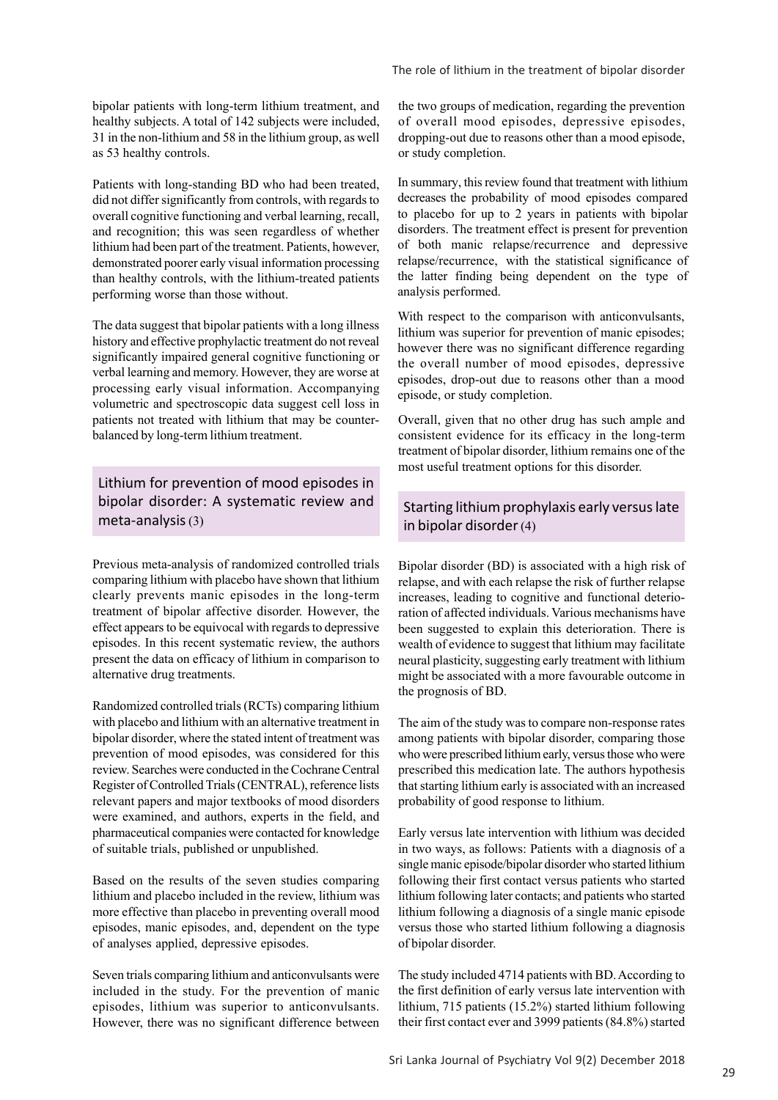bipolar patients with long-term lithium treatment, and healthy subjects. A total of 142 subjects were included, 31 in the non-lithium and 58 in the lithium group, as well as 53 healthy controls.

Patients with long-standing BD who had been treated, did not differ significantly from controls, with regards to overall cognitive functioning and verbal learning, recall, and recognition; this was seen regardless of whether lithium had been part of the treatment. Patients, however, demonstrated poorer early visual information processing than healthy controls, with the lithium-treated patients performing worse than those without.

The data suggest that bipolar patients with a long illness history and effective prophylactic treatment do not reveal significantly impaired general cognitive functioning or verbal learning and memory. However, they are worse at processing early visual information. Accompanying volumetric and spectroscopic data suggest cell loss in patients not treated with lithium that may be counterbalanced by long-term lithium treatment.

Lithium for prevention of mood episodes in bipolar disorder: A systematic review and meta-analysis (3)

Previous meta-analysis of randomized controlled trials comparing lithium with placebo have shown that lithium clearly prevents manic episodes in the long-term treatment of bipolar affective disorder. However, the effect appears to be equivocal with regards to depressive episodes. In this recent systematic review, the authors present the data on efficacy of lithium in comparison to alternative drug treatments.

Randomized controlled trials (RCTs) comparing lithium with placebo and lithium with an alternative treatment in bipolar disorder, where the stated intent of treatment was prevention of mood episodes, was considered for this review. Searches were conducted in the Cochrane Central Register of Controlled Trials (CENTRAL), reference lists relevant papers and major textbooks of mood disorders were examined, and authors, experts in the field, and pharmaceutical companies were contacted for knowledge of suitable trials, published or unpublished.

Based on the results of the seven studies comparing lithium and placebo included in the review, lithium was more effective than placebo in preventing overall mood episodes, manic episodes, and, dependent on the type of analyses applied, depressive episodes.

Seven trials comparing lithium and anticonvulsants were included in the study. For the prevention of manic episodes, lithium was superior to anticonvulsants. However, there was no significant difference between

the two groups of medication, regarding the prevention of overall mood episodes, depressive episodes, dropping-out due to reasons other than a mood episode, or study completion.

In summary, this review found that treatment with lithium decreases the probability of mood episodes compared to placebo for up to 2 years in patients with bipolar disorders. The treatment effect is present for prevention of both manic relapse/recurrence and depressive relapse/recurrence, with the statistical significance of the latter finding being dependent on the type of analysis performed.

With respect to the comparison with anticonvulsants, lithium was superior for prevention of manic episodes; however there was no significant difference regarding the overall number of mood episodes, depressive episodes, drop-out due to reasons other than a mood episode, or study completion.

Overall, given that no other drug has such ample and consistent evidence for its efficacy in the long-term treatment of bipolar disorder, lithium remains one of the most useful treatment options for this disorder.

### Starting lithium prophylaxis early versus late in bipolar disorder (4)

Bipolar disorder (BD) is associated with a high risk of relapse, and with each relapse the risk of further relapse increases, leading to cognitive and functional deterioration of affected individuals. Various mechanisms have been suggested to explain this deterioration. There is wealth of evidence to suggest that lithium may facilitate neural plasticity, suggesting early treatment with lithium might be associated with a more favourable outcome in the prognosis of BD.

The aim of the study was to compare non-response rates among patients with bipolar disorder, comparing those who were prescribed lithium early, versus those who were prescribed this medication late. The authors hypothesis that starting lithium early is associated with an increased probability of good response to lithium.

Early versus late intervention with lithium was decided in two ways, as follows: Patients with a diagnosis of a single manic episode/bipolar disorder who started lithium following their first contact versus patients who started lithium following later contacts; and patients who started lithium following a diagnosis of a single manic episode versus those who started lithium following a diagnosis of bipolar disorder.

The study included 4714 patients with BD. According to the first definition of early versus late intervention with lithium, 715 patients (15.2%) started lithium following their first contact ever and 3999 patients (84.8%) started